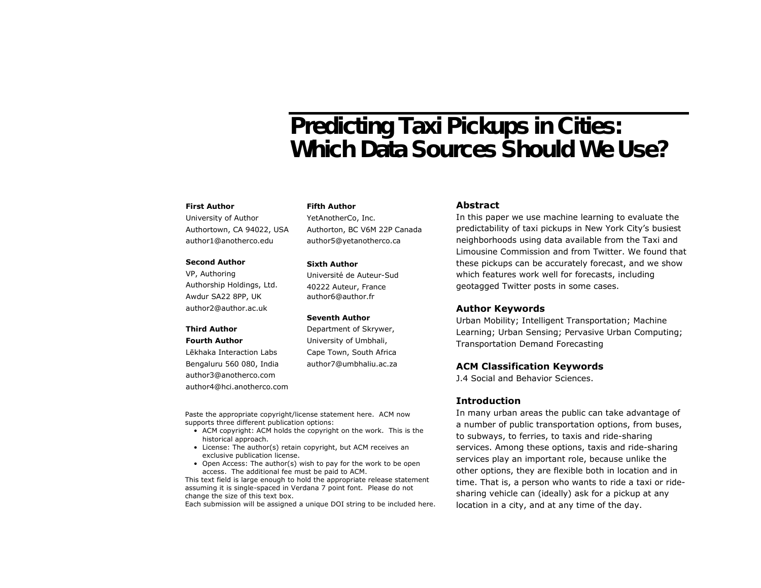# Predicting Taxi Pickups in Cities: Which Data Sources Should We Use?

#### **First Author**

University of Author Authortown, CA 94022, USA author1@anotherco.edu

#### **Second Author**

VP, Authoring Authorship Holdings, Ltd. Awdur SA22 8PP, UK author2@author.ac.uk

# **Third Author**

**Fourth Author**

Lēkhaka Interaction Labs Bengaluru 560 080, India author3@anotherco.com author4@hci.anotherco.com **Fifth Author**

YetAnotherCo, Inc. Authorton, BC V6M 22P Canada author5@yetanotherco.ca

#### **Sixth Author**

Université de Auteur-Sud 40222 Auteur, France author6@author.fr

#### **Seventh Author**

Department of Skrywer, University of Umbhali, Cape Town, South Africa author7@umbhaliu.ac.za

Paste the appropriate copyright/license statement here. ACM now supports three different publication options:

- ACM copyright: ACM holds the copyright on the work. This is the historical approach.
- License: The author(s) retain copyright, but ACM receives an exclusive publication license.
- Open Access: The author(s) wish to pay for the work to be open access. The additional fee must be paid to ACM.

This text field is large enough to hold the appropriate release statement assuming it is single-spaced in Verdana 7 point font. Please do not change the size of this text box.

Each submission will be assigned a unique DOI string to be included here.

## **Abstract**

In this paper we use machine learning to evaluate the predictability of taxi pickups in New York City's busiest neighborhoods using data available from the Taxi and Limousine Commission and from Twitter. We found that these pickups can be accurately forecast, and we show which features work well for forecasts, including geotagged Twitter posts in some cases.

### **Author Keywords**

Urban Mobility; Intelligent Transportation; Machine Learning; Urban Sensing; Pervasive Urban Computing; Transportation Demand Forecasting

#### **ACM Classification Keywords**

J.4 Social and Behavior Sciences.

#### **Introduction**

In many urban areas the public can take advantage of a number of public transportation options, from buses, to subways, to ferries, to taxis and ride-sharing services. Among these options, taxis and ride-sharing services play an important role, because unlike the other options, they are flexible both in location and in time. That is, a person who wants to ride a taxi or ridesharing vehicle can (ideally) ask for a pickup at any location in a city, and at any time of the day.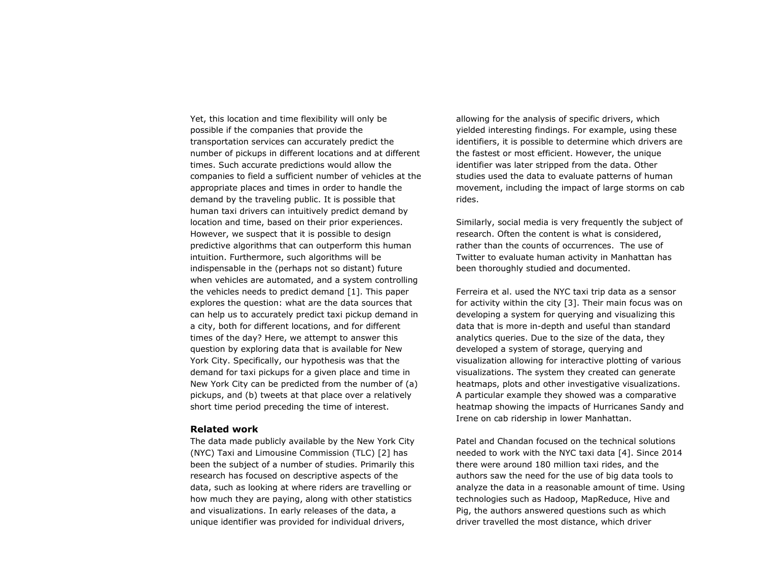Yet, this location and time flexibility will only be possible if the companies that provide the transportation services can accurately predict the number of pickups in different locations and at different times. Such accurate predictions would allow the companies to field a sufficient number of vehicles at the appropriate places and times in order to handle the demand by the traveling public. It is possible that human taxi drivers can intuitively predict demand by location and time, based on their prior experiences. However, we suspect that it is possible to design predictive algorithms that can outperform this human intuition. Furthermore, such algorithms will be indispensable in the (perhaps not so distant) future when vehicles are automated, and a system controlling the vehicles needs to predict demand [1]. This paper explores the question: what are the data sources that can help us to accurately predict taxi pickup demand in a city, both for different locations, and for different times of the day? Here, we attempt to answer this question by exploring data that is available for New York City. Specifically, our hypothesis was that the demand for taxi pickups for a given place and time in New York City can be predicted from the number of (a) pickups, and (b) tweets at that place over a relatively short time period preceding the time of interest.

#### **Related work**

The data made publicly available by the New York City (NYC) Taxi and Limousine Commission (TLC) [2] has been the subject of a number of studies. Primarily this research has focused on descriptive aspects of the data, such as looking at where riders are travelling or how much they are paying, along with other statistics and visualizations. In early releases of the data, a unique identifier was provided for individual drivers,

allowing for the analysis of specific drivers, which yielded interesting findings. For example, using these identifiers, it is possible to determine which drivers are the fastest or most efficient. However, the unique identifier was later stripped from the data. Other studies used the data to evaluate patterns of human movement, including the impact of large storms on cab rides.

Similarly, social media is very frequently the subject of research. Often the content is what is considered, rather than the counts of occurrences. The use of Twitter to evaluate human activity in Manhattan has been thoroughly studied and documented.

Ferreira et al. used the NYC taxi trip data as a sensor for activity within the city [3]. Their main focus was on developing a system for querying and visualizing this data that is more in-depth and useful than standard analytics queries. Due to the size of the data, they developed a system of storage, querying and visualization allowing for interactive plotting of various visualizations. The system they created can generate heatmaps, plots and other investigative visualizations. A particular example they showed was a comparative heatmap showing the impacts of Hurricanes Sandy and Irene on cab ridership in lower Manhattan.

Patel and Chandan focused on the technical solutions needed to work with the NYC taxi data [4]. Since 2014 there were around 180 million taxi rides, and the authors saw the need for the use of big data tools to analyze the data in a reasonable amount of time. Using technologies such as Hadoop, MapReduce, Hive and Pig, the authors answered questions such as which driver travelled the most distance, which driver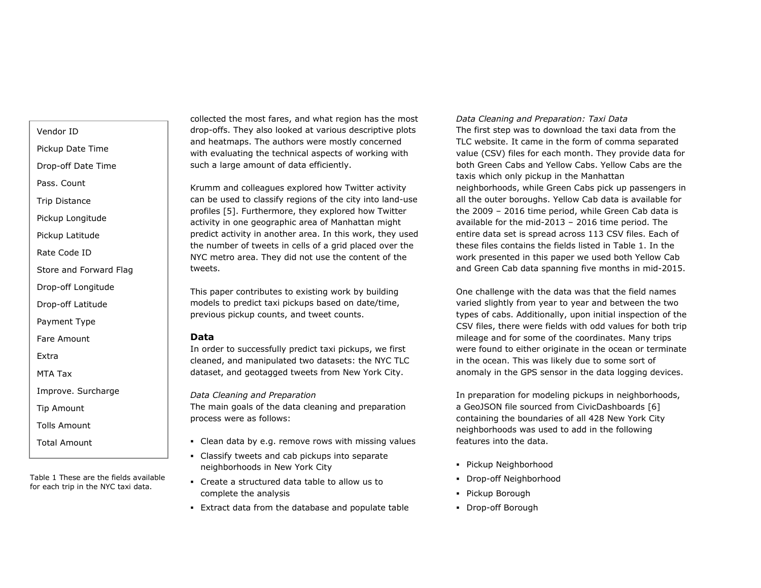Vendor ID

Pickup Date Time

Drop-off Date Time

Pass. Count

Trip Distance

Pickup Longitude

Pickup Latitude

Rate Code ID

Store and Forward Flag

Drop-off Longitude

Drop-off Latitude

Payment Type

Fare Amount

Extra

MTA Tax

Improve. Surcharge

Tip Amount

Tolls Amount

Total Amount

Table 1 These are the fields available for each trip in the NYC taxi data.

collected the most fares, and what region has the most drop-offs. They also looked at various descriptive plots and heatmaps. The authors were mostly concerned with evaluating the technical aspects of working with such a large amount of data efficiently.

Krumm and colleagues explored how Twitter activity can be used to classify regions of the city into land-use profiles [5]. Furthermore, they explored how Twitter activity in one geographic area of Manhattan might predict activity in another area. In this work, they used the number of tweets in cells of a grid placed over the NYC metro area. They did not use the content of the tweets.

This paper contributes to existing work by building models to predict taxi pickups based on date/time, previous pickup counts, and tweet counts.

#### **Data**

In order to successfully predict taxi pickups, we first cleaned, and manipulated two datasets: the NYC TLC dataset, and geotagged tweets from New York City.

*Data Cleaning and Preparation* The main goals of the data cleaning and preparation process were as follows:

- Clean data by e.g. remove rows with missing values
- **EXEC** Classify tweets and cab pickups into separate neighborhoods in New York City
- Create a structured data table to allow us to complete the analysis
- **Extract data from the database and populate table**

#### *Data Cleaning and Preparation: Taxi Data*

The first step was to download the taxi data from the TLC website. It came in the form of comma separated value (CSV) files for each month. They provide data for both Green Cabs and Yellow Cabs. Yellow Cabs are the taxis which only pickup in the Manhattan neighborhoods, while Green Cabs pick up passengers in all the outer boroughs. Yellow Cab data is available for the 2009 – 2016 time period, while Green Cab data is available for the mid-2013 – 2016 time period. The entire data set is spread across 113 CSV files. Each of these files contains the fields listed in Table 1. In the work presented in this paper we used both Yellow Cab and Green Cab data spanning five months in mid-2015.

One challenge with the data was that the field names varied slightly from year to year and between the two types of cabs. Additionally, upon initial inspection of the CSV files, there were fields with odd values for both trip mileage and for some of the coordinates. Many trips were found to either originate in the ocean or terminate in the ocean. This was likely due to some sort of anomaly in the GPS sensor in the data logging devices.

In preparation for modeling pickups in neighborhoods, a GeoJSON file sourced from CivicDashboards [6] containing the boundaries of all 428 New York City neighborhoods was used to add in the following features into the data.

- Pickup Neighborhood
- Drop-off Neighborhood
- Pickup Borough
- Drop-off Borough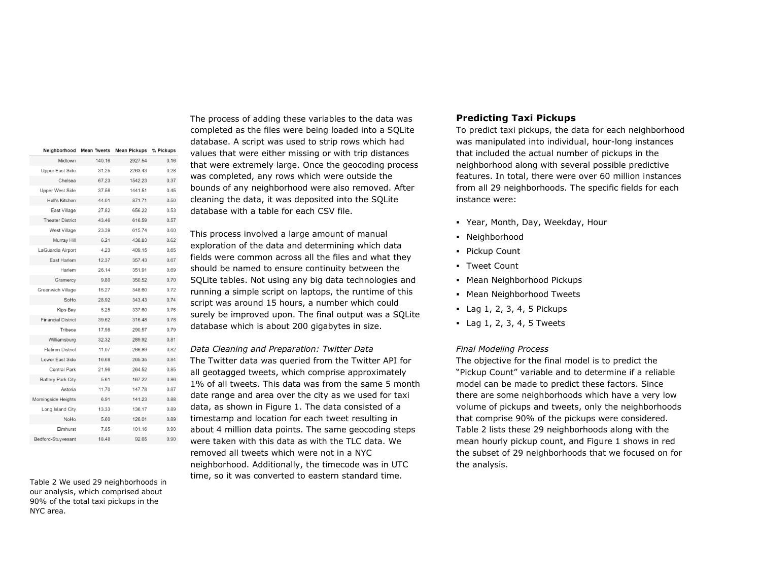| Neighborhood              | <b>Mean Tweets</b> | <b>Mean Pickups</b> | % Pickups |
|---------------------------|--------------------|---------------------|-----------|
| Midtown                   | 140.16             | 2927.54             | 0.16      |
| Upper East Side           | 31.25              | 2263.43             | 0.28      |
| Chelsea                   | 67.23              | 1542.23             | 0.37      |
| <b>Upper West Side</b>    | 37.56              | 1441.51             | 0.45      |
| Hell's Kitchen            | 44.01              | 871.71              | 0.50      |
| East Village              | 27.82              | 656.22              | 0.53      |
| <b>Theater District</b>   | 43.46              | 616.59              | 0.57      |
| West Village              | 23.39              | 615.74              | 0.60      |
| Murray Hill               | 6.21               | 438.83              | 0.62      |
| LaGuardia Airport         | 4.23               | 409.15              | 0.65      |
| East Harlem               | 12.37              | 357.43              | 0.67      |
| Harlem                    | 26.14              | 351.91              | 0.69      |
| Gramercy                  | 9.80               | 350.52              | 0.70      |
| Greenwich Village         | 15.27              | 348.60              | 0.72      |
| SoHo                      | 28.92              | 343.43              | 0.74      |
| Kips Bay                  | 5.25               | 337.60              | 0.76      |
| <b>Financial District</b> | 39.62              | 316,48              | 0.78      |
| Tribeca                   | 17.98              | 290.57              | 0.79      |
| Williamsburg              | 32.32              | 289.92              | 0.81      |
| <b>Flatiron District</b>  | 11.07              | 266.89              | 0.82      |
| Lower East Side           | 16.68              | 265.35              | 0.84      |
| <b>Central Park</b>       | 21.96              | 264.52              | 0.85      |
| <b>Battery Park City</b>  | 5.61               | 167.22              | 0.86      |
| Astoria                   | 11.70              | 147.78              | 0.87      |
| Morningside Heights       | 6.91               | 141.23              | 0.88      |
| Long Island City          | 13.33              | 136.17              | 0.89      |
| NoHo                      | 5.60               | 126.01              | 0.89      |
| Elmhurst                  | 7.85               | 101.16              | 0.90      |
| Bedford-Stuyvesant        | 18.48              | 92.65               | 0.90      |

Table 2 We used 29 neighborhoods in our analysis, which comprised about 90% of the total taxi pickups in the NYC area.

The process of adding these variables to the data was completed as the files were being loaded into a SQLite database. A script was used to strip rows which had values that were either missing or with trip distances that were extremely large. Once the geocoding process was completed, any rows which were outside the bounds of any neighborhood were also removed. After cleaning the data, it was deposited into the SQLite database with a table for each CSV file.

This process involved a large amount of manual exploration of the data and determining which data fields were common across all the files and what they should be named to ensure continuity between the SQLite tables. Not using any big data technologies and running a simple script on laptops, the runtime of this script was around 15 hours, a number which could surely be improved upon. The final output was a SQLite database which is about 200 gigabytes in size.

*Data Cleaning and Preparation: Twitter Data* The Twitter data was queried from the Twitter API for all geotagged tweets, which comprise approximately 1% of all tweets. This data was from the same 5 month date range and area over the city as we used for taxi data, as shown in Figure 1. The data consisted of a timestamp and location for each tweet resulting in about 4 million data points. The same geocoding steps were taken with this data as with the TLC data. We removed all tweets which were not in a NYC neighborhood. Additionally, the timecode was in UTC time, so it was converted to eastern standard time.

# **Predicting Taxi Pickups**

To predict taxi pickups, the data for each neighborhood was manipulated into individual, hour-long instances that included the actual number of pickups in the neighborhood along with several possible predictive features. In total, there were over 60 million instances from all 29 neighborhoods. The specific fields for each instance were:

- Year, Month, Day, Weekday, Hour
- Neighborhood
- Pickup Count
- Tweet Count
- Mean Neighborhood Pickups
- Mean Neighborhood Tweets
- $\blacksquare$  Lag 1, 2, 3, 4, 5 Pickups
- $\blacksquare$  Lag 1, 2, 3, 4, 5 Tweets

#### *Final Modeling Process*

The objective for the final model is to predict the "Pickup Count" variable and to determine if a reliable model can be made to predict these factors. Since there are some neighborhoods which have a very low volume of pickups and tweets, only the neighborhoods that comprise 90% of the pickups were considered. Table 2 lists these 29 neighborhoods along with the mean hourly pickup count, and Figure 1 shows in red the subset of 29 neighborhoods that we focused on for the analysis.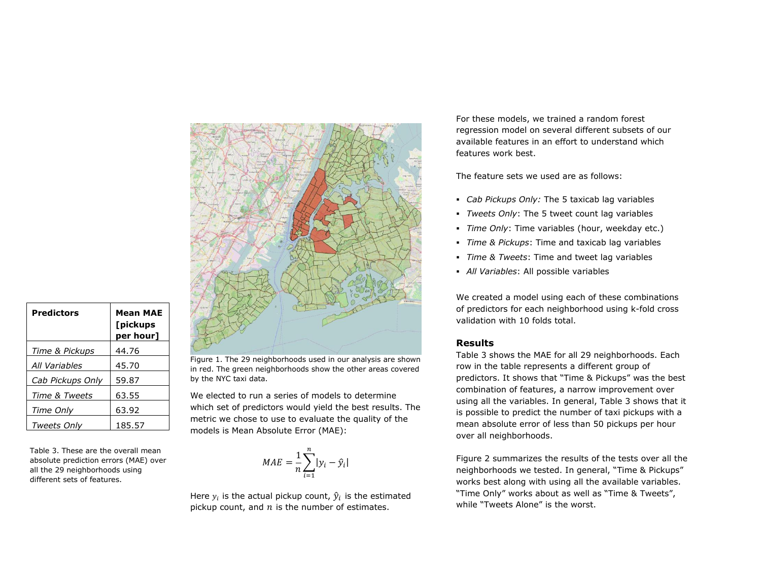| <b>Nemon</b><br><b>NYW ROCYHIN</b><br>hines.<br>Gesete firk<br>Totown<br><b>Aryonavan Second Law</b><br><b>Alterna</b><br><b>UNITED</b><br>Teareck<br><b>Digitation</b><br>woulded.<br>. Pak<br><b>Wind Ave</b><br>Geriele.<br><b>OKE</b>                                                                                                                                                                |
|----------------------------------------------------------------------------------------------------------------------------------------------------------------------------------------------------------------------------------------------------------------------------------------------------------------------------------------------------------------------------------------------------------|
| <b>Current</b><br>w<br>NG 2<br><b>Histens</b><br>Offish<br><b>Highlestin</b><br><b>HANNA</b><br>/ Strophy<br>CedarGrove<br><b>The Services Party Forther</b><br>Sancy Point<br>96<br><b>Polt</b> brich<br><b>Sachd Range</b><br>her.<br>(No.<br>$\sqrt{2}$<br><b>GRADE</b><br>$\frac{1}{2}$<br><b>Distriction</b><br><b>Gretik martons</b><br>verona                                                     |
| <b>Distanced</b><br><b>Dickwere</b><br>Montgar<br>TO Diffuse Bare<br><b>Nitteri</b><br><b>KAW YOFE</b><br>Parries<br>$\overline{m}$<br>Tyremas J - HI in<br>Burstall<br><b>Rando</b><br>D<br><b>Trent Neck</b><br><b>PACKWARE</b><br><b>Beloves</b><br><b>CARLO</b><br><b>TENNIS OF</b><br><b>Galler ber</b><br>$\sqrt{2}$<br><b>Security</b><br><b>Mint's A Grey</b><br>Great Nath<br>Eliacop - Direasa |
| us on Oty<br>18<br><b>Drings</b><br>WreEnskin<br>Keams<br>an Chiring<br>$_{\alpha}$<br><b>Holickers</b>                                                                                                                                                                                                                                                                                                  |
| NUM<br>mington Ma<br>sesse city.<br>$\frac{1}{\sqrt{2}n}$<br>David <sup>1</sup><br>38.2<br>em<br>劫<br><b>ASSAM</b><br>$\delta$                                                                                                                                                                                                                                                                           |
| <b>HAC</b><br>$\alpha$<br>$\frac{191}{1619}$<br>SAWH<br>Euden                                                                                                                                                                                                                                                                                                                                            |
| $\frac{1}{2}$<br>CK<br>$\overline{11}$<br>i bi<br>$\frac{193}{197}$<br>Unider)<br>white will<br><b>Section</b><br>Gwie                                                                                                                                                                                                                                                                                   |
| Wirecover<br>ø<br>Camver                                                                                                                                                                                                                                                                                                                                                                                 |
|                                                                                                                                                                                                                                                                                                                                                                                                          |
|                                                                                                                                                                                                                                                                                                                                                                                                          |

| Predictors       | <b>Mean MAE</b><br>[pickups<br>per hour] |  |
|------------------|------------------------------------------|--|
| Time & Pickups   | 44.76                                    |  |
| All Variables    | 45.70                                    |  |
| Cab Pickups Only | 59.87                                    |  |
| Time & Tweets    | 63.55                                    |  |
| Time Only        | 63.92                                    |  |
| Tweets Only      | 185.57                                   |  |

Table 3. These are the overall mean absolute prediction errors (MAE) over all the 29 neighborhoods using different sets of features.

Figure 1. The 29 neighborhoods used in our analysis are shown in red. The green neighborhoods show the other areas covered by the NYC taxi data.

We elected to run a series of models to determine which set of predictors would yield the best results. The metric we chose to use to evaluate the quality of the models is Mean Absolute Error (MAE):

$$
MAE = \frac{1}{n} \sum_{i=1}^{n} |y_i - \hat{y}_i|
$$

Here  $y_i$  is the actual pickup count,  $\hat{y}_i$  is the estimated pickup count, and  $n$  is the number of estimates.

For these models, we trained a random forest regression model on several different subsets of our available features in an effort to understand which features work best.

The feature sets we used are as follows:

- *Cab Pickups Only:* The 5 taxicab lag variables
- *Tweets Only*: The 5 tweet count lag variables
- *Time Only*: Time variables (hour, weekday etc.)
- *Time & Pickups*: Time and taxicab lag variables
- *Time & Tweets*: Time and tweet lag variables
- *All Variables*: All possible variables

We created a model using each of these combinations of predictors for each neighborhood using k-fold cross validation with 10 folds total.

# **Results**

Table 3 shows the MAE for all 29 neighborhoods. Each row in the table represents a different group of predictors. It shows that "Time & Pickups" was the best combination of features, a narrow improvement over using all the variables. In general, Table 3 shows that it is possible to predict the number of taxi pickups with a mean absolute error of less than 50 pickups per hour over all neighborhoods.

Figure 2 summarizes the results of the tests over all the neighborhoods we tested. In general, "Time & Pickups" works best along with using all the available variables. "Time Only" works about as well as "Time & Tweets", while "Tweets Alone" is the worst.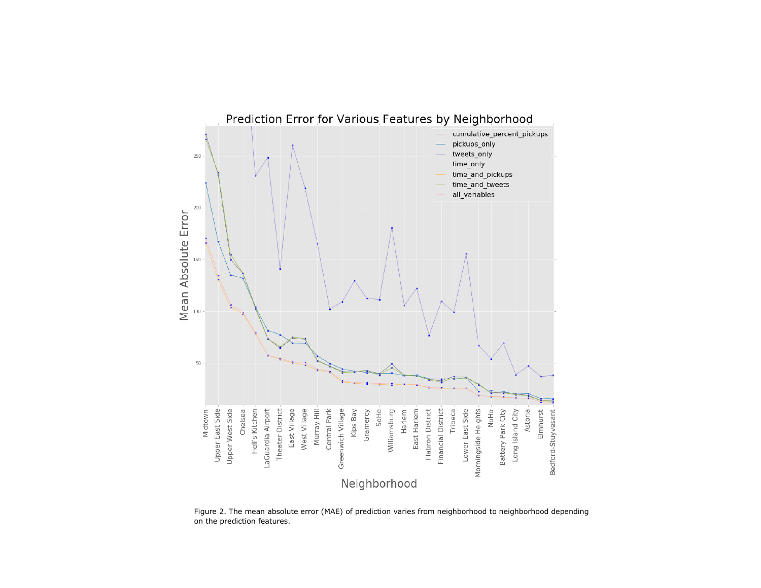

Figure 2. The mean absolute error (MAE) of prediction varies from neighborhood to neighborhood depending on the prediction features.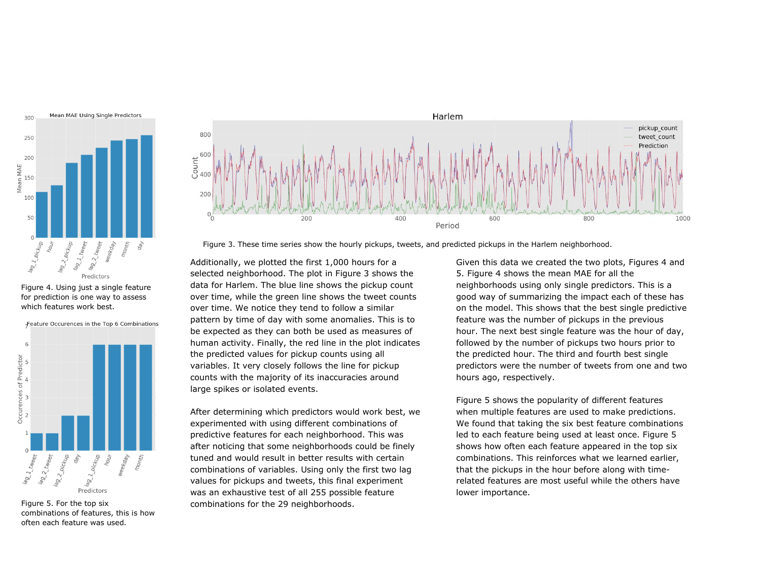

Figure 4. Using just a single feature for prediction is one way to assess which features work best.



Figure 5. For the top six combinations of features, this is how often each feature was used.



Figure 3. These time series show the hourly pickups, tweets, and predicted pickups in the Harlem neighborhood.

Additionally, we plotted the first 1,000 hours for a selected neighborhood. The plot in Figure 3 shows the data for Harlem. The blue line shows the pickup count over time, while the green line shows the tweet counts over time. We notice they tend to follow a similar pattern by time of day with some anomalies. This is to be expected as they can both be used as measures of human activity. Finally, the red line in the plot indicates the predicted values for pickup counts using all variables. It very closely follows the line for pickup counts with the majority of its inaccuracies around large spikes or isolated events.

After determining which predictors would work best, we experimented with using different combinations of predictive features for each neighborhood. This was after noticing that some neighborhoods could be finely tuned and would result in better results with certain combinations of variables. Using only the first two lag values for pickups and tweets, this final experiment was an exhaustive test of all 255 possible feature combinations for the 29 neighborhoods.

Given this data we created the two plots, Figures 4 and 5. Figure 4 shows the mean MAE for all the neighborhoods using only single predictors. This is a good way of summarizing the impact each of these has on the model. This shows that the best single predictive feature was the number of pickups in the previous hour. The next best single feature was the hour of day, followed by the number of pickups two hours prior to the predicted hour. The third and fourth best single predictors were the number of tweets from one and two hours ago, respectively.

Figure 5 shows the popularity of different features when multiple features are used to make predictions. We found that taking the six best feature combinations led to each feature being used at least once. Figure 5 shows how often each feature appeared in the top six combinations. This reinforces what we learned earlier, that the pickups in the hour before along with timerelated features are most useful while the others have lower importance.